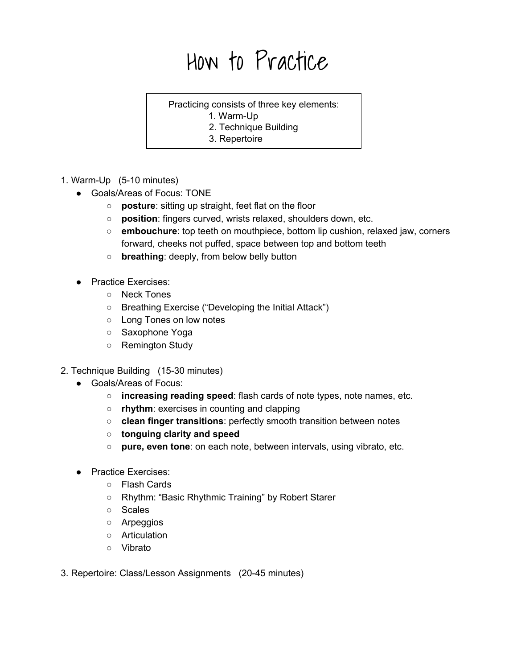## How to Practice

## Practicing consists of three key elements:

- 1. Warm-Up
- 2. Technique Building
- 3. Repertoire
- 1. Warm-Up (5-10 minutes)
	- Goals/Areas of Focus: TONE
		- **posture**: sitting up straight, feet flat on the floor
		- **position**: fingers curved, wrists relaxed, shoulders down, etc.
		- **embouchure**: top teeth on mouthpiece, bottom lip cushion, relaxed jaw, corners forward, cheeks not puffed, space between top and bottom teeth
		- **breathing**: deeply, from below belly button
	- Practice Exercises:
		- Neck Tones
		- Breathing Exercise ("Developing the Initial Attack")
		- Long Tones on low notes
		- Saxophone Yoga
		- Remington Study
- 2. Technique Building (15-30 minutes)
	- Goals/Areas of Focus:
		- **○ increasing reading speed**:flash cards of note types, note names, etc.
		- **○ rhythm**: exercises in counting and clapping
		- **<b>• clean finger transitions: perfectly smooth transition between notes**
		- **○ tonguing clarity and speed**
		- **pure, even tone**: on each note, between intervals, using vibrato, etc.
	- Practice Exercises:
		- Flash Cards
		- **○** Rhythm: "Basic Rhythmic Training" by Robert Starer
		- Scales
		- Arpeggios
		- Articulation
		- Vibrato
- 3. Repertoire: Class/Lesson Assignments (2045 minutes)